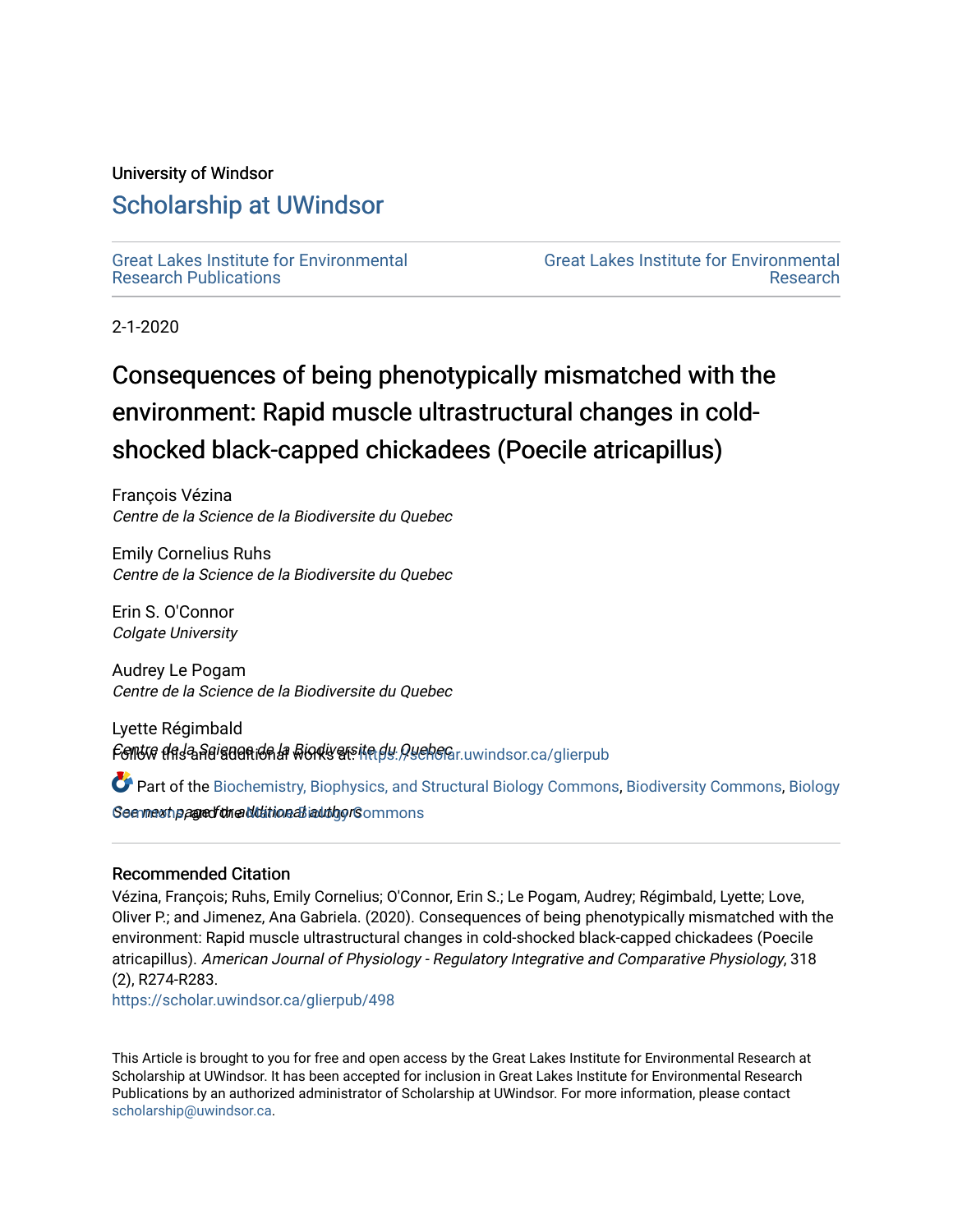## University of Windsor

## [Scholarship at UWindsor](https://scholar.uwindsor.ca/)

[Great Lakes Institute for Environmental](https://scholar.uwindsor.ca/glierpub) [Research Publications](https://scholar.uwindsor.ca/glierpub) 

[Great Lakes Institute for Environmental](https://scholar.uwindsor.ca/glier)  [Research](https://scholar.uwindsor.ca/glier) 

2-1-2020

# Consequences of being phenotypically mismatched with the environment: Rapid muscle ultrastructural changes in coldshocked black-capped chickadees (Poecile atricapillus)

François Vézina Centre de la Science de la Biodiversite du Quebec

Emily Cornelius Ruhs Centre de la Science de la Biodiversite du Quebec

Erin S. O'Connor Colgate University

Audrey Le Pogam Centre de la Science de la Biodiversite du Quebec

Lyette Régimbald Follow the <sup>l</sup>a Reiguen ion la Bionty atsite dy *Queh* Gar uwindsor.ca/glierpub

Seen meartha ang and the Martine all and the Marine Seem mons Part of the [Biochemistry, Biophysics, and Structural Biology Commons](http://network.bepress.com/hgg/discipline/1?utm_source=scholar.uwindsor.ca%2Fglierpub%2F498&utm_medium=PDF&utm_campaign=PDFCoverPages), [Biodiversity Commons,](http://network.bepress.com/hgg/discipline/1127?utm_source=scholar.uwindsor.ca%2Fglierpub%2F498&utm_medium=PDF&utm_campaign=PDFCoverPages) [Biology](http://network.bepress.com/hgg/discipline/41?utm_source=scholar.uwindsor.ca%2Fglierpub%2F498&utm_medium=PDF&utm_campaign=PDFCoverPages) 

### Recommended Citation

Vézina, François; Ruhs, Emily Cornelius; O'Connor, Erin S.; Le Pogam, Audrey; Régimbald, Lyette; Love, Oliver P.; and Jimenez, Ana Gabriela. (2020). Consequences of being phenotypically mismatched with the environment: Rapid muscle ultrastructural changes in cold-shocked black-capped chickadees (Poecile atricapillus). American Journal of Physiology - Regulatory Integrative and Comparative Physiology, 318 (2), R274-R283.

[https://scholar.uwindsor.ca/glierpub/498](https://scholar.uwindsor.ca/glierpub/498?utm_source=scholar.uwindsor.ca%2Fglierpub%2F498&utm_medium=PDF&utm_campaign=PDFCoverPages) 

This Article is brought to you for free and open access by the Great Lakes Institute for Environmental Research at Scholarship at UWindsor. It has been accepted for inclusion in Great Lakes Institute for Environmental Research Publications by an authorized administrator of Scholarship at UWindsor. For more information, please contact [scholarship@uwindsor.ca.](mailto:scholarship@uwindsor.ca)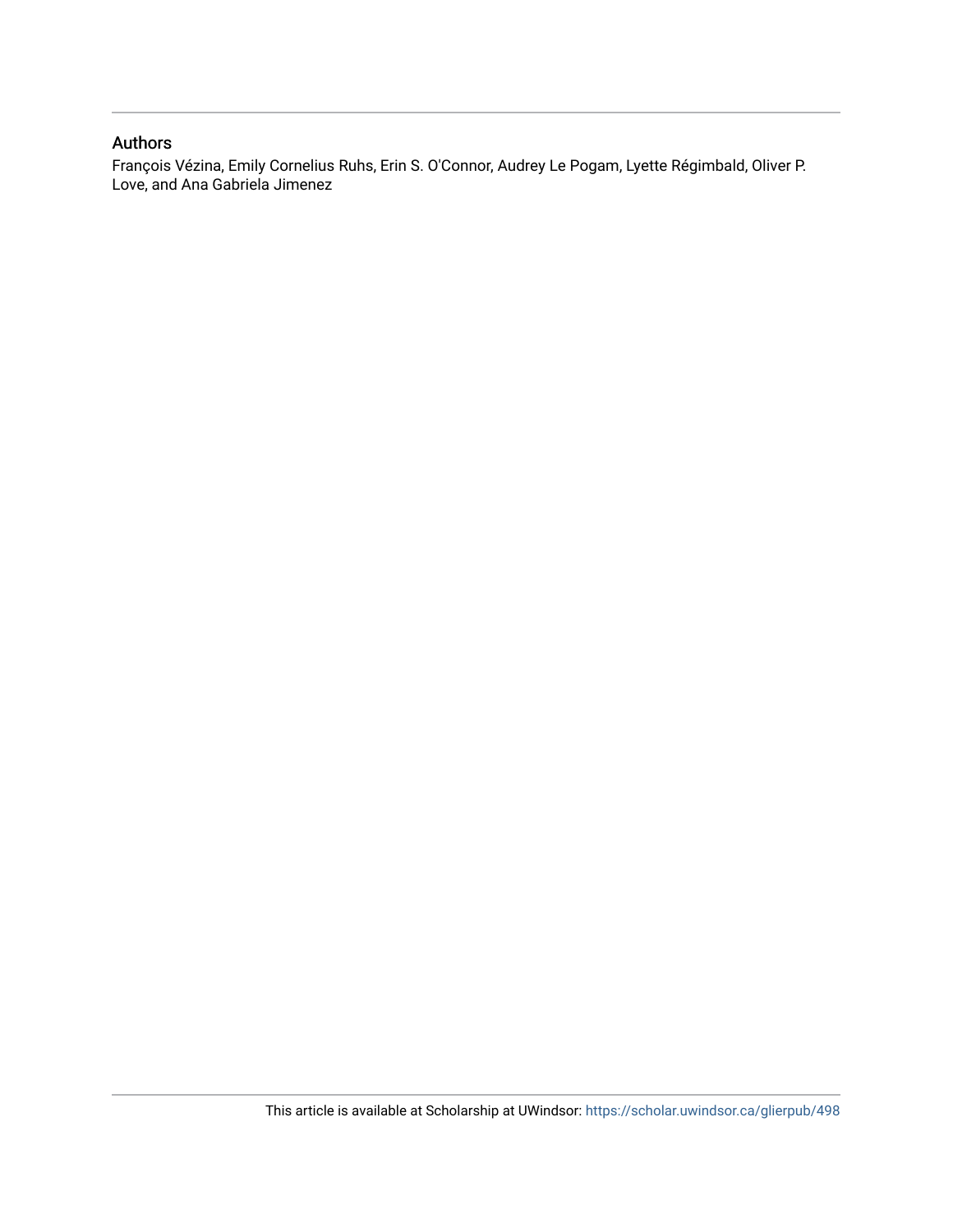## Authors

François Vézina, Emily Cornelius Ruhs, Erin S. O'Connor, Audrey Le Pogam, Lyette Régimbald, Oliver P. Love, and Ana Gabriela Jimenez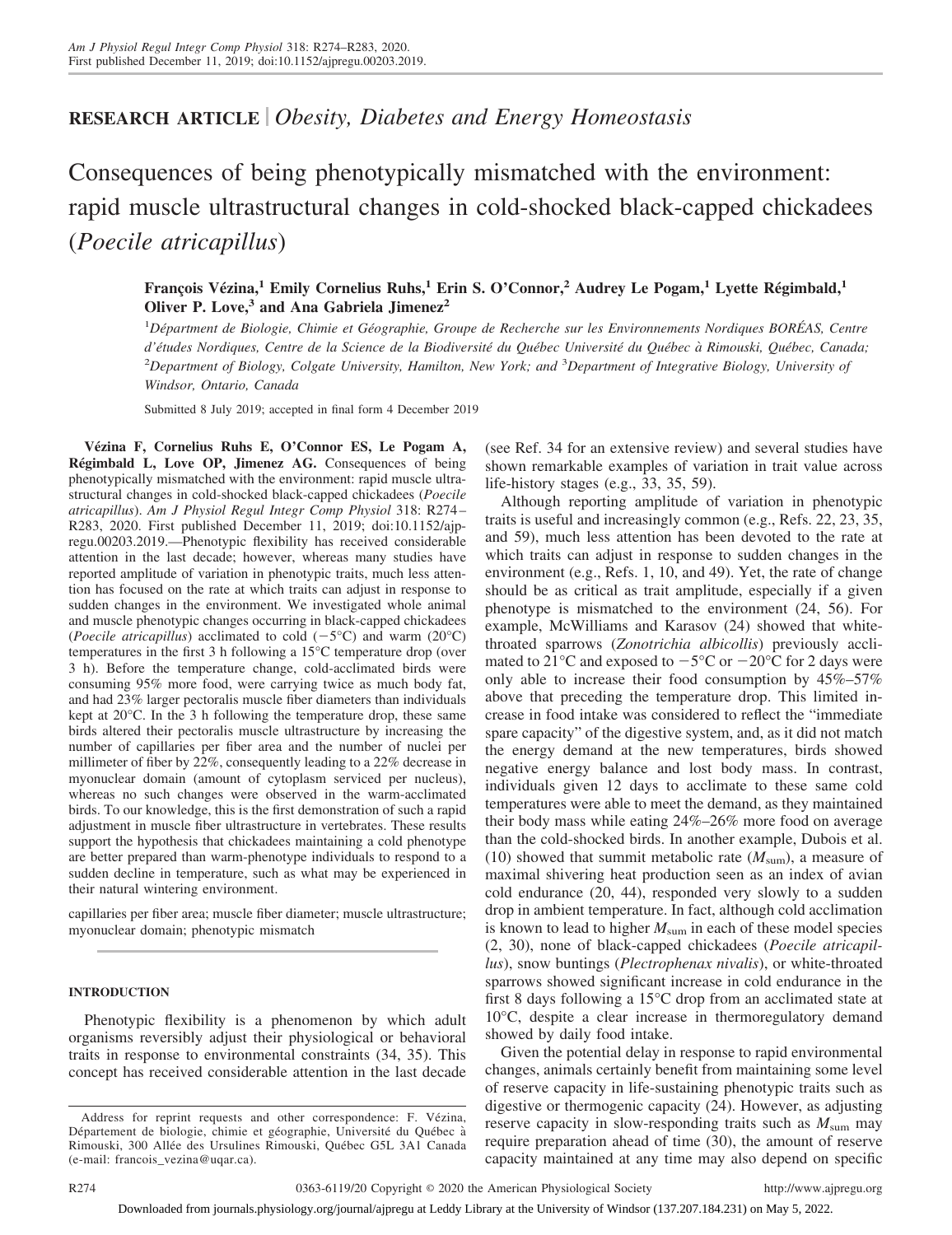## **RESEARCH ARTICLE** *Obesity, Diabetes and Energy Homeostasis*

Consequences of being phenotypically mismatched with the environment: rapid muscle ultrastructural changes in cold-shocked black-capped chickadees (*Poecile atricapillus*)

**François Vézina,<sup>1</sup> Emily Cornelius Ruhs,<sup>1</sup> Erin S. O'Connor,<sup>2</sup> Audrey Le Pogam,<sup>1</sup> Lyette Régimbald,<sup>1</sup> Oliver P. Love,<sup>3</sup> and Ana Gabriela Jimenez<sup>2</sup>**

1 *Départment de Biologie, Chimie et Géographie, Groupe de Recherche sur les Environnements Nordiques BORÉAS, Centre d'études Nordiques, Centre de la Science de la Biodiversité du Québec Université du Québec a` Rimouski, Québec, Canada;* 2 *Department of Biology, Colgate University, Hamilton, New York; and* <sup>3</sup> *Department of Integrative Biology, University of Windsor, Ontario, Canada*

Submitted 8 July 2019; accepted in final form 4 December 2019

**Vézina F, Cornelius Ruhs E, O'Connor ES, Le Pogam A, Régimbald L, Love OP, Jimenez AG.** Consequences of being phenotypically mismatched with the environment: rapid muscle ultrastructural changes in cold-shocked black-capped chickadees (*Poecile atricapillus*). *Am J Physiol Regul Integr Comp Physiol* 318: R274 – R283, 2020. First published December 11, 2019; doi[:10.1152/ajp](http://doi.org/10.1152/ajpregu.00203.2019)[regu.00203.2019.](http://doi.org/10.1152/ajpregu.00203.2019)—Phenotypic flexibility has received considerable attention in the last decade; however, whereas many studies have reported amplitude of variation in phenotypic traits, much less attention has focused on the rate at which traits can adjust in response to sudden changes in the environment. We investigated whole animal and muscle phenotypic changes occurring in black-capped chickadees (*Poecile atricapillus*) acclimated to cold  $(-5^{\circ}C)$  and warm (20 $^{\circ}C$ ) temperatures in the first 3 h following a 15°C temperature drop (over 3 h). Before the temperature change, cold-acclimated birds were consuming 95% more food, were carrying twice as much body fat, and had 23% larger pectoralis muscle fiber diameters than individuals kept at 20°C. In the 3 h following the temperature drop, these same birds altered their pectoralis muscle ultrastructure by increasing the number of capillaries per fiber area and the number of nuclei per millimeter of fiber by 22%, consequently leading to a 22% decrease in myonuclear domain (amount of cytoplasm serviced per nucleus), whereas no such changes were observed in the warm-acclimated birds. To our knowledge, this is the first demonstration of such a rapid adjustment in muscle fiber ultrastructure in vertebrates. These results support the hypothesis that chickadees maintaining a cold phenotype are better prepared than warm-phenotype individuals to respond to a sudden decline in temperature, such as what may be experienced in their natural wintering environment.

capillaries per fiber area; muscle fiber diameter; muscle ultrastructure; myonuclear domain; phenotypic mismatch

#### **INTRODUCTION**

Phenotypic flexibility is a phenomenon by which adult organisms reversibly adjust their physiological or behavioral traits in response to environmental constraints (34, 35). This concept has received considerable attention in the last decade (see Ref. 34 for an extensive review) and several studies have shown remarkable examples of variation in trait value across life-history stages (e.g., 33, 35, 59).

Although reporting amplitude of variation in phenotypic traits is useful and increasingly common (e.g., Refs. 22, 23, 35, and 59), much less attention has been devoted to the rate at which traits can adjust in response to sudden changes in the environment (e.g., Refs. 1, 10, and 49). Yet, the rate of change should be as critical as trait amplitude, especially if a given phenotype is mismatched to the environment (24, 56). For example, McWilliams and Karasov (24) showed that whitethroated sparrows (*Zonotrichia albicollis*) previously acclimated to 21 $^{\circ}$ C and exposed to  $-5^{\circ}$ C or  $-20^{\circ}$ C for 2 days were only able to increase their food consumption by 45%–57% above that preceding the temperature drop. This limited increase in food intake was considered to reflect the "immediate spare capacity" of the digestive system, and, as it did not match the energy demand at the new temperatures, birds showed negative energy balance and lost body mass. In contrast, individuals given 12 days to acclimate to these same cold temperatures were able to meet the demand, as they maintained their body mass while eating 24%–26% more food on average than the cold-shocked birds. In another example, Dubois et al. (10) showed that summit metabolic rate  $(M_{\text{sum}})$ , a measure of maximal shivering heat production seen as an index of avian cold endurance (20, 44), responded very slowly to a sudden drop in ambient temperature. In fact, although cold acclimation is known to lead to higher *M*sum in each of these model species (2, 30), none of black-capped chickadees (*Poecile atricapillus*), snow buntings (*Plectrophenax nivalis*), or white-throated sparrows showed significant increase in cold endurance in the first 8 days following a 15°C drop from an acclimated state at 10°C, despite a clear increase in thermoregulatory demand showed by daily food intake.

Given the potential delay in response to rapid environmental changes, animals certainly benefit from maintaining some level of reserve capacity in life-sustaining phenotypic traits such as digestive or thermogenic capacity (24). However, as adjusting reserve capacity in slow-responding traits such as  $M_{\text{sum}}$  may require preparation ahead of time (30), the amount of reserve capacity maintained at any time may also depend on specific

Address for reprint requests and other correspondence: F. Vézina, Département de biologie, chimie et géographie, Université du Québec a` Rimouski, 300 Allée des Ursulines Rimouski, Québec G5L 3A1 Canada (e-mail: [francois\\_vezina@uqar.ca\)](mailto:francois_vezina@uqar.ca).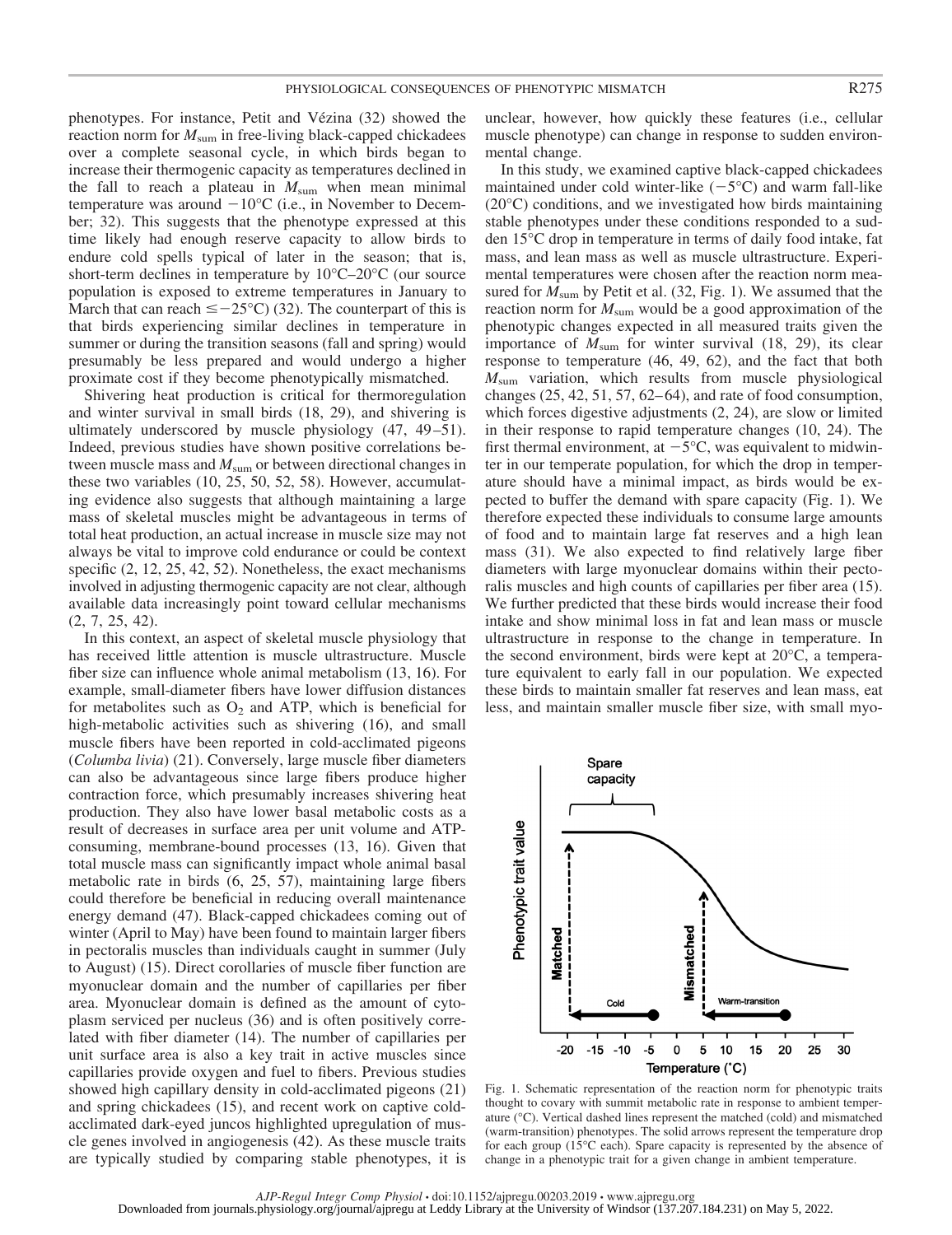phenotypes. For instance, Petit and Vézina (32) showed the reaction norm for  $M_{\text{sum}}$  in free-living black-capped chickadees over a complete seasonal cycle, in which birds began to increase their thermogenic capacity as temperatures declined in the fall to reach a plateau in  $M_{\text{sum}}$  when mean minimal temperature was around  $-10^{\circ}$ C (i.e., in November to December; 32). This suggests that the phenotype expressed at this time likely had enough reserve capacity to allow birds to endure cold spells typical of later in the season; that is, short-term declines in temperature by  $10^{\circ}$ C–20<sup>°</sup>C (our source population is exposed to extreme temperatures in January to March that can reach  $\leq -25^{\circ}C$  (32). The counterpart of this is that birds experiencing similar declines in temperature in summer or during the transition seasons (fall and spring) would presumably be less prepared and would undergo a higher proximate cost if they become phenotypically mismatched.

Shivering heat production is critical for thermoregulation and winter survival in small birds (18, 29), and shivering is ultimately underscored by muscle physiology (47, 49–51). Indeed, previous studies have shown positive correlations between muscle mass and  $M_{\text{sum}}$  or between directional changes in these two variables (10, 25, 50, 52, 58). However, accumulating evidence also suggests that although maintaining a large mass of skeletal muscles might be advantageous in terms of total heat production, an actual increase in muscle size may not always be vital to improve cold endurance or could be context specific (2, 12, 25, 42, 52). Nonetheless, the exact mechanisms involved in adjusting thermogenic capacity are not clear, although available data increasingly point toward cellular mechanisms (2, 7, 25, 42).

In this context, an aspect of skeletal muscle physiology that has received little attention is muscle ultrastructure. Muscle fiber size can influence whole animal metabolism (13, 16). For example, small-diameter fibers have lower diffusion distances for metabolites such as  $O_2$  and ATP, which is beneficial for high-metabolic activities such as shivering (16), and small muscle fibers have been reported in cold-acclimated pigeons (*Columba livia*) (21). Conversely, large muscle fiber diameters can also be advantageous since large fibers produce higher contraction force, which presumably increases shivering heat production. They also have lower basal metabolic costs as a result of decreases in surface area per unit volume and ATPconsuming, membrane-bound processes (13, 16). Given that total muscle mass can significantly impact whole animal basal metabolic rate in birds (6, 25, 57), maintaining large fibers could therefore be beneficial in reducing overall maintenance energy demand (47). Black-capped chickadees coming out of winter (April to May) have been found to maintain larger fibers in pectoralis muscles than individuals caught in summer (July to August) (15). Direct corollaries of muscle fiber function are myonuclear domain and the number of capillaries per fiber area. Myonuclear domain is defined as the amount of cytoplasm serviced per nucleus (36) and is often positively correlated with fiber diameter (14). The number of capillaries per unit surface area is also a key trait in active muscles since capillaries provide oxygen and fuel to fibers. Previous studies showed high capillary density in cold-acclimated pigeons (21) and spring chickadees (15), and recent work on captive coldacclimated dark-eyed juncos highlighted upregulation of muscle genes involved in angiogenesis (42). As these muscle traits are typically studied by comparing stable phenotypes, it is

unclear, however, how quickly these features (i.e., cellular muscle phenotype) can change in response to sudden environmental change.

In this study, we examined captive black-capped chickadees maintained under cold winter-like  $(-5^{\circ}C)$  and warm fall-like (20°C) conditions, and we investigated how birds maintaining stable phenotypes under these conditions responded to a sudden 15°C drop in temperature in terms of daily food intake, fat mass, and lean mass as well as muscle ultrastructure. Experimental temperatures were chosen after the reaction norm measured for  $M_{\text{sum}}$  by Petit et al. (32, Fig. 1). We assumed that the reaction norm for *M*sum would be a good approximation of the phenotypic changes expected in all measured traits given the importance of  $M_{\text{sum}}$  for winter survival (18, 29), its clear response to temperature (46, 49, 62), and the fact that both *M*sum variation, which results from muscle physiological changes  $(25, 42, 51, 57, 62–64)$ , and rate of food consumption, which forces digestive adjustments (2, 24), are slow or limited in their response to rapid temperature changes (10, 24). The first thermal environment, at  $-5^{\circ}$ C, was equivalent to midwinter in our temperate population, for which the drop in temperature should have a minimal impact, as birds would be expected to buffer the demand with spare capacity (Fig. 1). We therefore expected these individuals to consume large amounts of food and to maintain large fat reserves and a high lean mass (31). We also expected to find relatively large fiber diameters with large myonuclear domains within their pectoralis muscles and high counts of capillaries per fiber area (15). We further predicted that these birds would increase their food intake and show minimal loss in fat and lean mass or muscle ultrastructure in response to the change in temperature. In the second environment, birds were kept at 20°C, a temperature equivalent to early fall in our population. We expected these birds to maintain smaller fat reserves and lean mass, eat less, and maintain smaller muscle fiber size, with small myo-



Fig. 1. Schematic representation of the reaction norm for phenotypic traits thought to covary with summit metabolic rate in response to ambient temperature (°C). Vertical dashed lines represent the matched (cold) and mismatched (warm-transition) phenotypes. The solid arrows represent the temperature drop for each group (15°C each). Spare capacity is represented by the absence of change in a phenotypic trait for a given change in ambient temperature.

*AJP-Regul Integr Comp Physiol* • doi:10.1152/ajpregu.00203.2019 • www.ajpregu.org Downloaded from journals.physiology.org/journal/ajpregu at Leddy Library at the University of Windsor (137.207.184.231) on May 5, 2022.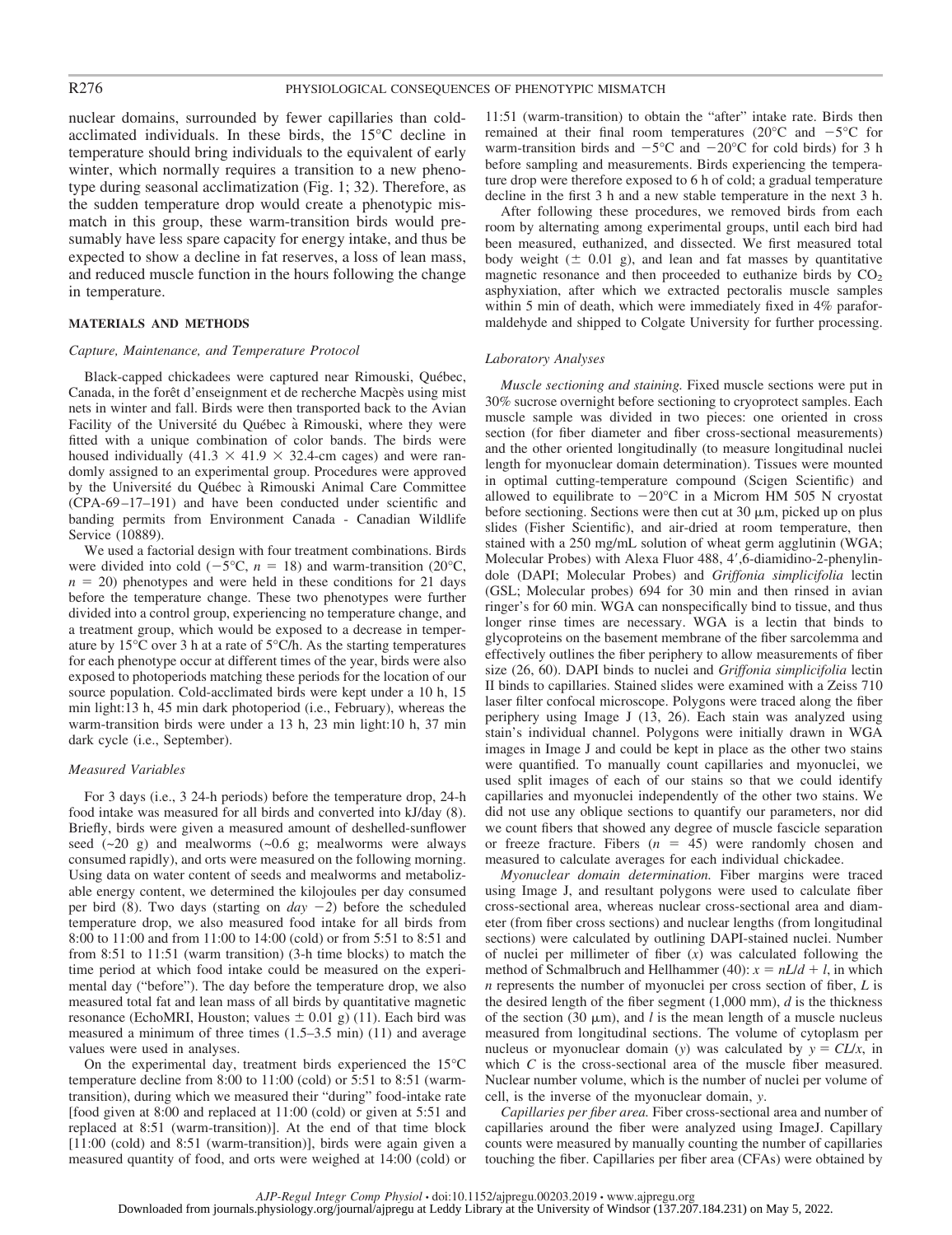nuclear domains, surrounded by fewer capillaries than coldacclimated individuals. In these birds, the 15°C decline in temperature should bring individuals to the equivalent of early winter, which normally requires a transition to a new phenotype during seasonal acclimatization (Fig. 1; 32). Therefore, as the sudden temperature drop would create a phenotypic mismatch in this group, these warm-transition birds would presumably have less spare capacity for energy intake, and thus be expected to show a decline in fat reserves, a loss of lean mass, and reduced muscle function in the hours following the change in temperature.

#### **MATERIALS AND METHODS**

#### *Capture, Maintenance, and Temperature Protocol*

Black-capped chickadees were captured near Rimouski, Québec, Canada, in the forêt d'enseignment et de recherche Macpès using mist nets in winter and fall. Birds were then transported back to the Avian Facility of the Université du Québec à Rimouski, where they were fitted with a unique combination of color bands. The birds were housed individually (41.3  $\times$  41.9  $\times$  32.4-cm cages) and were randomly assigned to an experimental group. Procedures were approved by the Université du Québec a` Rimouski Animal Care Committee (CPA-69 –17–191) and have been conducted under scientific and banding permits from Environment Canada - Canadian Wildlife Service (10889).

We used a factorial design with four treatment combinations. Birds were divided into cold  $(-5^{\circ}C, n = 18)$  and warm-transition (20<sup>o</sup>C,  $n = 20$ ) phenotypes and were held in these conditions for 21 days before the temperature change. These two phenotypes were further divided into a control group, experiencing no temperature change, and a treatment group, which would be exposed to a decrease in temperature by 15°C over 3 h at a rate of 5°C/h. As the starting temperatures for each phenotype occur at different times of the year, birds were also exposed to photoperiods matching these periods for the location of our source population. Cold-acclimated birds were kept under a 10 h, 15 min light:13 h, 45 min dark photoperiod (i.e., February), whereas the warm-transition birds were under a 13 h, 23 min light:10 h, 37 min dark cycle (i.e., September).

#### *Measured Variables*

For 3 days (i.e., 3 24-h periods) before the temperature drop, 24-h food intake was measured for all birds and converted into kJ/day (8). Briefly, birds were given a measured amount of deshelled-sunflower seed  $(\sim 20 \text{ g})$  and mealworms  $(\sim 0.6 \text{ g})$ ; mealworms were always consumed rapidly), and orts were measured on the following morning. Using data on water content of seeds and mealworms and metabolizable energy content, we determined the kilojoules per day consumed per bird (8). Two days (starting on  $day -2$ ) before the scheduled temperature drop, we also measured food intake for all birds from 8:00 to 11:00 and from 11:00 to 14:00 (cold) or from 5:51 to 8:51 and from 8:51 to 11:51 (warm transition) (3-h time blocks) to match the time period at which food intake could be measured on the experimental day ("before"). The day before the temperature drop, we also measured total fat and lean mass of all birds by quantitative magnetic resonance (EchoMRI, Houston; values  $\pm$  0.01 g) (11). Each bird was measured a minimum of three times (1.5–3.5 min) (11) and average values were used in analyses.

On the experimental day, treatment birds experienced the 15°C temperature decline from 8:00 to 11:00 (cold) or 5:51 to 8:51 (warmtransition), during which we measured their "during" food-intake rate [food given at 8:00 and replaced at 11:00 (cold) or given at 5:51 and replaced at 8:51 (warm-transition)]. At the end of that time block [11:00 (cold) and 8:51 (warm-transition)], birds were again given a measured quantity of food, and orts were weighed at 14:00 (cold) or 11:51 (warm-transition) to obtain the "after" intake rate. Birds then remained at their final room temperatures (20 $^{\circ}$ C and  $-5^{\circ}$ C for warm-transition birds and  $-5^{\circ}$ C and  $-20^{\circ}$ C for cold birds) for 3 h before sampling and measurements. Birds experiencing the temperature drop were therefore exposed to 6 h of cold; a gradual temperature decline in the first 3 h and a new stable temperature in the next 3 h.

After following these procedures, we removed birds from each room by alternating among experimental groups, until each bird had been measured, euthanized, and dissected. We first measured total body weight  $(\pm 0.01 \text{ g})$ , and lean and fat masses by quantitative magnetic resonance and then proceeded to euthanize birds by  $CO<sub>2</sub>$ asphyxiation, after which we extracted pectoralis muscle samples within 5 min of death, which were immediately fixed in 4% paraformaldehyde and shipped to Colgate University for further processing.

#### *Laboratory Analyses*

*Muscle sectioning and staining.* Fixed muscle sections were put in 30% sucrose overnight before sectioning to cryoprotect samples. Each muscle sample was divided in two pieces: one oriented in cross section (for fiber diameter and fiber cross-sectional measurements) and the other oriented longitudinally (to measure longitudinal nuclei length for myonuclear domain determination). Tissues were mounted in optimal cutting-temperature compound (Scigen Scientific) and allowed to equilibrate to  $-20^{\circ}$ C in a Microm HM 505 N cryostat before sectioning. Sections were then cut at  $30 \mu m$ , picked up on plus slides (Fisher Scientific), and air-dried at room temperature, then stained with a 250 mg/mL solution of wheat germ agglutinin (WGA; Molecular Probes) with Alexa Fluor 488, 4',6-diamidino-2-phenylindole (DAPI; Molecular Probes) and *Griffonia simplicifolia* lectin (GSL; Molecular probes) 694 for 30 min and then rinsed in avian ringer's for 60 min. WGA can nonspecifically bind to tissue, and thus longer rinse times are necessary. WGA is a lectin that binds to glycoproteins on the basement membrane of the fiber sarcolemma and effectively outlines the fiber periphery to allow measurements of fiber size (26, 60). DAPI binds to nuclei and *Griffonia simplicifolia* lectin II binds to capillaries. Stained slides were examined with a Zeiss 710 laser filter confocal microscope. Polygons were traced along the fiber periphery using Image J (13, 26). Each stain was analyzed using stain's individual channel. Polygons were initially drawn in WGA images in Image J and could be kept in place as the other two stains were quantified. To manually count capillaries and myonuclei, we used split images of each of our stains so that we could identify capillaries and myonuclei independently of the other two stains. We did not use any oblique sections to quantify our parameters, nor did we count fibers that showed any degree of muscle fascicle separation or freeze fracture. Fibers  $(n = 45)$  were randomly chosen and measured to calculate averages for each individual chickadee.

*Myonuclear domain determination.* Fiber margins were traced using Image J, and resultant polygons were used to calculate fiber cross-sectional area, whereas nuclear cross-sectional area and diameter (from fiber cross sections) and nuclear lengths (from longitudinal sections) were calculated by outlining DAPI-stained nuclei. Number of nuclei per millimeter of fiber (*x*) was calculated following the method of Schmalbruch and Hellhammer (40):  $x = nL/d + l$ , in which *n* represents the number of myonuclei per cross section of fiber, *L* is the desired length of the fiber segment (1,000 mm), *d* is the thickness of the section (30  $\mu$ m), and *l* is the mean length of a muscle nucleus measured from longitudinal sections. The volume of cytoplasm per nucleus or myonuclear domain (*y*) was calculated by  $y = CL/x$ , in which *C* is the cross-sectional area of the muscle fiber measured. Nuclear number volume, which is the number of nuclei per volume of cell, is the inverse of the myonuclear domain, *y*.

*Capillaries per fiber area.* Fiber cross-sectional area and number of capillaries around the fiber were analyzed using ImageJ. Capillary counts were measured by manually counting the number of capillaries touching the fiber. Capillaries per fiber area (CFAs) were obtained by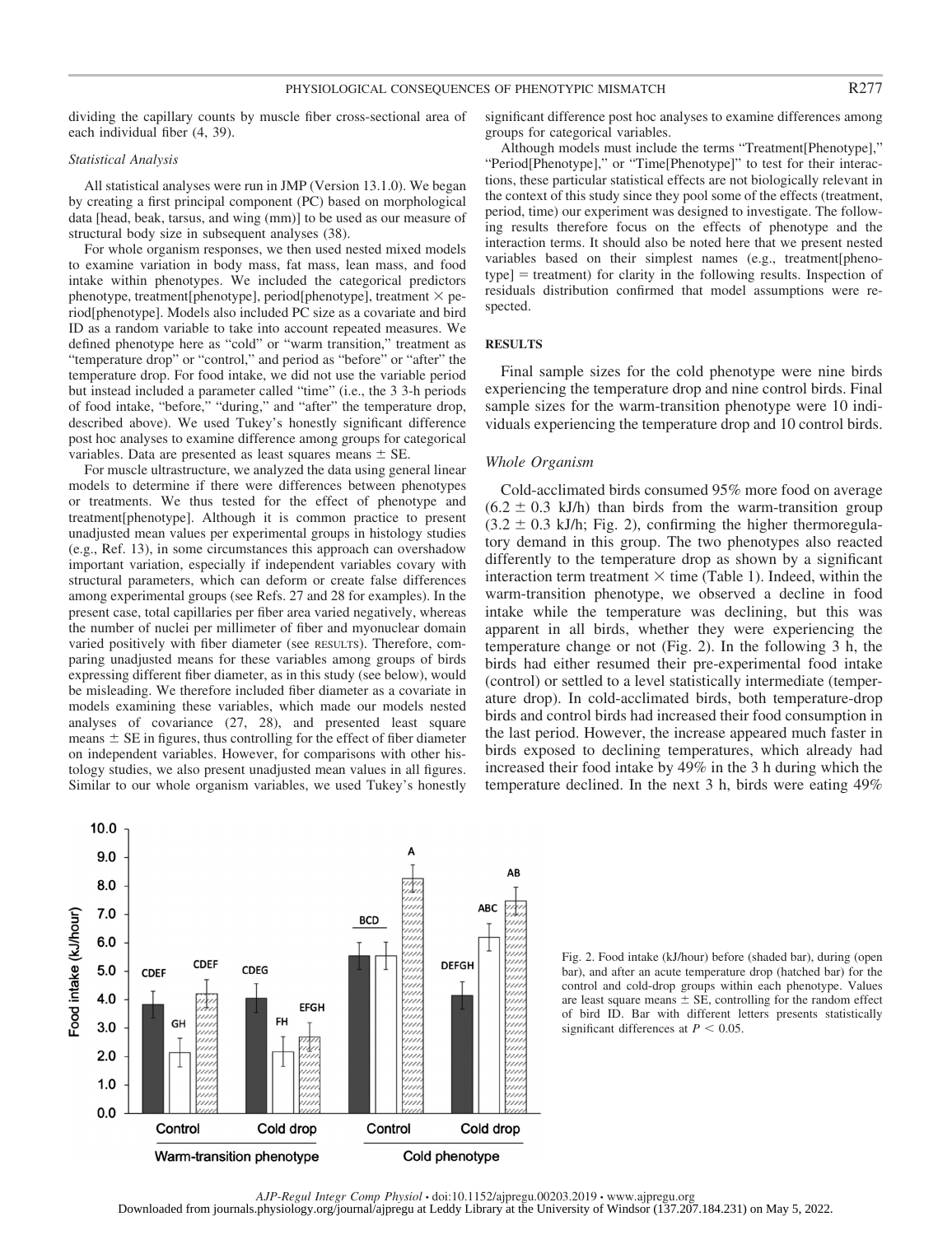dividing the capillary counts by muscle fiber cross-sectional area of each individual fiber (4, 39).

#### *Statistical Analysis*

All statistical analyses were run in JMP (Version 13.1.0). We began by creating a first principal component (PC) based on morphological data [head, beak, tarsus, and wing (mm)] to be used as our measure of structural body size in subsequent analyses (38).

For whole organism responses, we then used nested mixed models to examine variation in body mass, fat mass, lean mass, and food intake within phenotypes. We included the categorical predictors phenotype, treatment[phenotype], period[phenotype], treatment  $\times$  period[phenotype]. Models also included PC size as a covariate and bird ID as a random variable to take into account repeated measures. We defined phenotype here as "cold" or "warm transition," treatment as "temperature drop" or "control," and period as "before" or "after" the temperature drop. For food intake, we did not use the variable period but instead included a parameter called "time" (i.e., the 3 3-h periods of food intake, "before," "during," and "after" the temperature drop, described above). We used Tukey's honestly significant difference post hoc analyses to examine difference among groups for categorical variables. Data are presented as least squares means  $\pm$  SE.

For muscle ultrastructure, we analyzed the data using general linear models to determine if there were differences between phenotypes or treatments. We thus tested for the effect of phenotype and treatment[phenotype]. Although it is common practice to present unadjusted mean values per experimental groups in histology studies (e.g., Ref. 13), in some circumstances this approach can overshadow important variation, especially if independent variables covary with structural parameters, which can deform or create false differences among experimental groups (see Refs. 27 and 28 for examples). In the present case, total capillaries per fiber area varied negatively, whereas the number of nuclei per millimeter of fiber and myonuclear domain varied positively with fiber diameter (see RESULTS). Therefore, comparing unadjusted means for these variables among groups of birds expressing different fiber diameter, as in this study (see below), would be misleading. We therefore included fiber diameter as a covariate in models examining these variables, which made our models nested analyses of covariance (27, 28), and presented least square means  $\pm$  SE in figures, thus controlling for the effect of fiber diameter on independent variables. However, for comparisons with other histology studies, we also present unadjusted mean values in all figures. Similar to our whole organism variables, we used Tukey's honestly

significant difference post hoc analyses to examine differences among groups for categorical variables.

Although models must include the terms "Treatment[Phenotype]," "Period[Phenotype]," or "Time[Phenotype]" to test for their interactions, these particular statistical effects are not biologically relevant in the context of this study since they pool some of the effects (treatment, period, time) our experiment was designed to investigate. The following results therefore focus on the effects of phenotype and the interaction terms. It should also be noted here that we present nested variables based on their simplest names (e.g., treatment[pheno $type]$  = treatment) for clarity in the following results. Inspection of residuals distribution confirmed that model assumptions were respected.

#### **RESULTS**

Final sample sizes for the cold phenotype were nine birds experiencing the temperature drop and nine control birds. Final sample sizes for the warm-transition phenotype were 10 individuals experiencing the temperature drop and 10 control birds.

#### *Whole Organism*

Cold-acclimated birds consumed 95% more food on average  $(6.2 \pm 0.3 \text{ kJ/h})$  than birds from the warm-transition group  $(3.2 \pm 0.3 \text{ kJ/h}; \text{Fig. 2})$ , confirming the higher thermoregulatory demand in this group. The two phenotypes also reacted differently to the temperature drop as shown by a significant interaction term treatment  $\times$  time (Table 1). Indeed, within the warm-transition phenotype, we observed a decline in food intake while the temperature was declining, but this was apparent in all birds, whether they were experiencing the temperature change or not (Fig. 2). In the following 3 h, the birds had either resumed their pre-experimental food intake (control) or settled to a level statistically intermediate (temperature drop). In cold-acclimated birds, both temperature-drop birds and control birds had increased their food consumption in the last period. However, the increase appeared much faster in birds exposed to declining temperatures, which already had increased their food intake by 49% in the 3 h during which the temperature declined. In the next 3 h, birds were eating 49%



Fig. 2. Food intake (kJ/hour) before (shaded bar), during (open bar), and after an acute temperature drop (hatched bar) for the control and cold-drop groups within each phenotype. Values are least square means  $\pm$  SE, controlling for the random effect of bird ID. Bar with different letters presents statistically significant differences at  $P < 0.05$ .

*AJP-Regul Integr Comp Physiol* • doi:10.1152/ajpregu.00203.2019 • www.ajpregu.org Downloaded from journals.physiology.org/journal/ajpregu at Leddy Library at the University of Windsor (137.207.184.231) on May 5, 2022.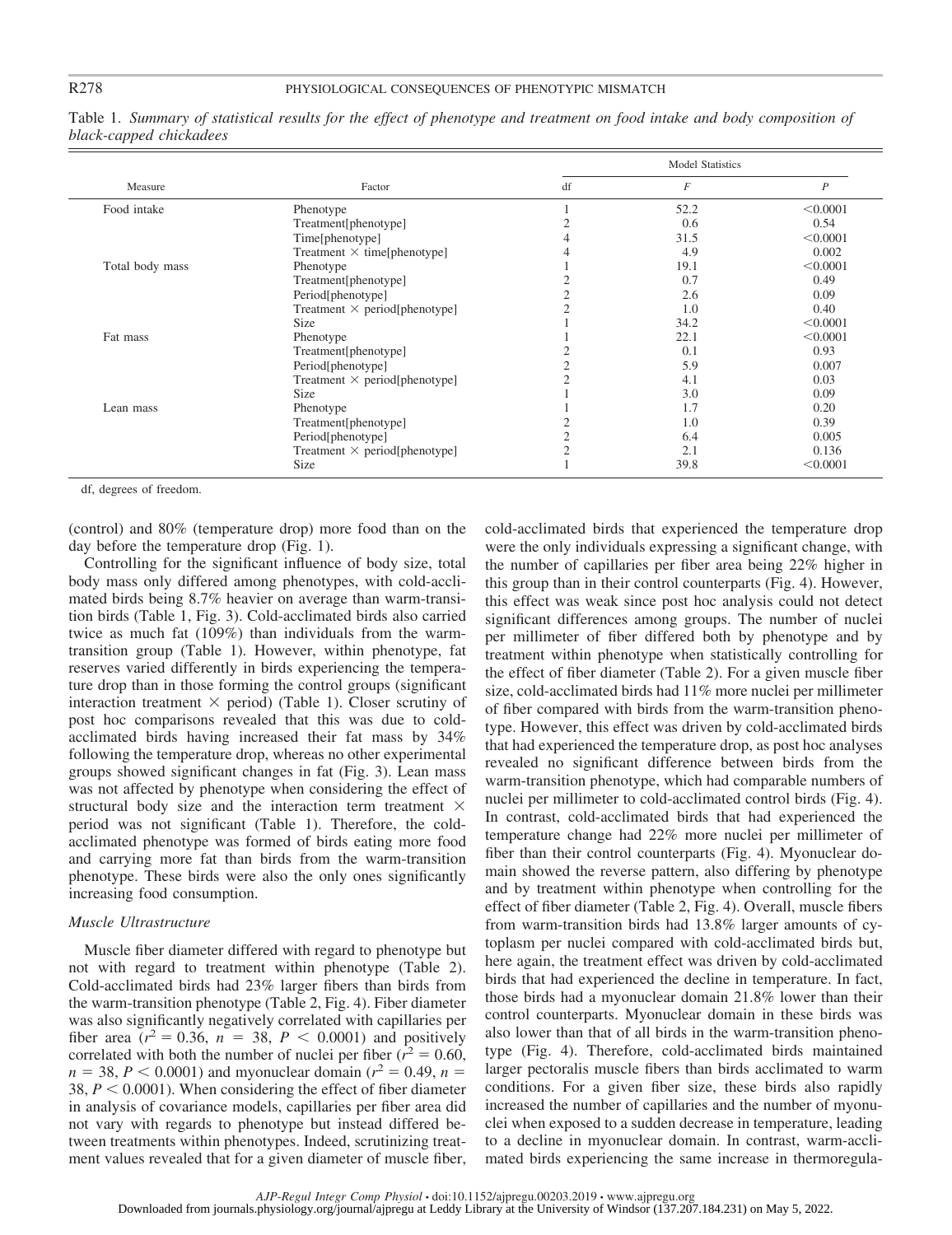| Measure         |                                      | <b>Model Statistics</b> |                |                  |  |
|-----------------|--------------------------------------|-------------------------|----------------|------------------|--|
|                 | Factor                               | df                      | $\overline{F}$ | $\boldsymbol{P}$ |  |
| Food intake     | Phenotype                            |                         | 52.2           | < 0.0001         |  |
|                 | Treatment[phenotype]                 |                         | 0.6            | 0.54             |  |
|                 | Time[phenotype]                      |                         | 31.5           | < 0.0001         |  |
|                 | Treatment $\times$ time[phenotype]   |                         | 4.9            | 0.002            |  |
| Total body mass | Phenotype                            |                         | 19.1           | < 0.0001         |  |
|                 | Treatment[phenotype]                 |                         | 0.7            | 0.49             |  |
|                 | Period[phenotype]                    |                         | 2.6            | 0.09             |  |
|                 | Treatment $\times$ period[phenotype] |                         | 1.0            | 0.40             |  |
|                 | <b>Size</b>                          |                         | 34.2           | < 0.0001         |  |
| Fat mass        | Phenotype                            |                         | 22.1           | < 0.0001         |  |
|                 | Treatment[phenotype]                 |                         | 0.1            | 0.93             |  |
|                 | Period[phenotype]                    |                         | 5.9            | 0.007            |  |
|                 | Treatment $\times$ period[phenotype] |                         | 4.1            | 0.03             |  |
|                 | <b>Size</b>                          |                         | 3.0            | 0.09             |  |
| Lean mass       | Phenotype                            |                         | 1.7            | 0.20             |  |
|                 | Treatment[phenotype]                 |                         | 1.0            | 0.39             |  |
|                 | Period[phenotype]                    |                         | 6.4            | 0.005            |  |
|                 | Treatment $\times$ period[phenotype] |                         | 2.1            | 0.136            |  |
|                 | Size                                 |                         | 39.8           | < 0.0001         |  |

Table 1. *Summary of statistical results for the effect of phenotype and treatment on food intake and body composition of black-capped chickadees*

df, degrees of freedom.

(control) and 80% (temperature drop) more food than on the day before the temperature drop (Fig. 1).

Controlling for the significant influence of body size, total body mass only differed among phenotypes, with cold-acclimated birds being 8.7% heavier on average than warm-transition birds (Table 1, Fig. 3). Cold-acclimated birds also carried twice as much fat (109%) than individuals from the warmtransition group (Table 1). However, within phenotype, fat reserves varied differently in birds experiencing the temperature drop than in those forming the control groups (significant interaction treatment  $\times$  period) (Table 1). Closer scrutiny of post hoc comparisons revealed that this was due to coldacclimated birds having increased their fat mass by 34% following the temperature drop, whereas no other experimental groups showed significant changes in fat (Fig. 3). Lean mass was not affected by phenotype when considering the effect of structural body size and the interaction term treatment  $\times$ period was not significant (Table 1). Therefore, the coldacclimated phenotype was formed of birds eating more food and carrying more fat than birds from the warm-transition phenotype. These birds were also the only ones significantly increasing food consumption.

#### *Muscle Ultrastructure*

Muscle fiber diameter differed with regard to phenotype but not with regard to treatment within phenotype (Table 2). Cold-acclimated birds had 23% larger fibers than birds from the warm-transition phenotype (Table 2, Fig. 4). Fiber diameter was also significantly negatively correlated with capillaries per fiber area  $(r^2 = 0.36, n = 38, P < 0.0001)$  and positively correlated with both the number of nuclei per fiber ( $r^2 = 0.60$ ,  $n = 38$ ,  $P < 0.0001$ ) and myonuclear domain ( $r^2 = 0.49$ ,  $n =$ 38,  $P < 0.0001$ ). When considering the effect of fiber diameter in analysis of covariance models, capillaries per fiber area did not vary with regards to phenotype but instead differed between treatments within phenotypes. Indeed, scrutinizing treatment values revealed that for a given diameter of muscle fiber,

cold-acclimated birds that experienced the temperature drop were the only individuals expressing a significant change, with the number of capillaries per fiber area being 22% higher in this group than in their control counterparts (Fig. 4). However, this effect was weak since post hoc analysis could not detect significant differences among groups. The number of nuclei per millimeter of fiber differed both by phenotype and by treatment within phenotype when statistically controlling for the effect of fiber diameter (Table 2). For a given muscle fiber size, cold-acclimated birds had 11% more nuclei per millimeter of fiber compared with birds from the warm-transition phenotype. However, this effect was driven by cold-acclimated birds that had experienced the temperature drop, as post hoc analyses revealed no significant difference between birds from the warm-transition phenotype, which had comparable numbers of nuclei per millimeter to cold-acclimated control birds (Fig. 4). In contrast, cold-acclimated birds that had experienced the temperature change had 22% more nuclei per millimeter of fiber than their control counterparts (Fig. 4). Myonuclear domain showed the reverse pattern, also differing by phenotype and by treatment within phenotype when controlling for the effect of fiber diameter (Table 2, Fig. 4). Overall, muscle fibers from warm-transition birds had 13.8% larger amounts of cytoplasm per nuclei compared with cold-acclimated birds but, here again, the treatment effect was driven by cold-acclimated birds that had experienced the decline in temperature. In fact, those birds had a myonuclear domain 21.8% lower than their control counterparts. Myonuclear domain in these birds was also lower than that of all birds in the warm-transition phenotype (Fig. 4). Therefore, cold-acclimated birds maintained larger pectoralis muscle fibers than birds acclimated to warm conditions. For a given fiber size, these birds also rapidly increased the number of capillaries and the number of myonuclei when exposed to a sudden decrease in temperature, leading to a decline in myonuclear domain. In contrast, warm-acclimated birds experiencing the same increase in thermoregula-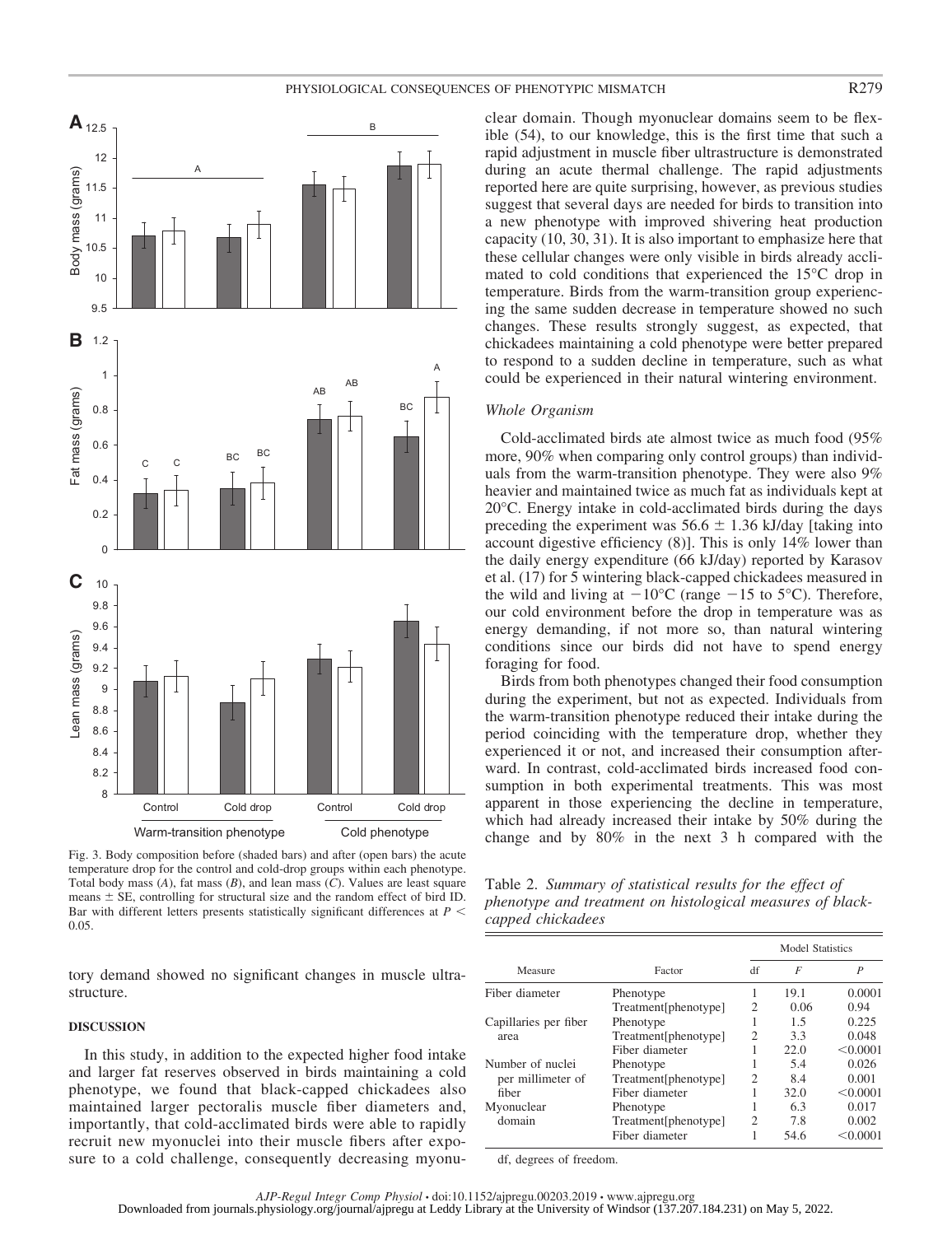#### PHYSIOLOGICAL CONSEQUENCES OF PHENOTYPIC MISMATCH **R279**



Fig. 3. Body composition before (shaded bars) and after (open bars) the acute temperature drop for the control and cold-drop groups within each phenotype. Total body mass (*A*), fat mass (*B*), and lean mass (*C*). Values are least square means  $\pm$  SE, controlling for structural size and the random effect of bird ID. Bar with different letters presents statistically significant differences at  $P \leq$ 0.05.

tory demand showed no significant changes in muscle ultrastructure.

#### **DISCUSSION**

In this study, in addition to the expected higher food intake and larger fat reserves observed in birds maintaining a cold phenotype, we found that black-capped chickadees also maintained larger pectoralis muscle fiber diameters and, importantly, that cold-acclimated birds were able to rapidly recruit new myonuclei into their muscle fibers after exposure to a cold challenge, consequently decreasing myonuclear domain. Though myonuclear domains seem to be flexible (54), to our knowledge, this is the first time that such a rapid adjustment in muscle fiber ultrastructure is demonstrated during an acute thermal challenge. The rapid adjustments reported here are quite surprising, however, as previous studies suggest that several days are needed for birds to transition into a new phenotype with improved shivering heat production capacity (10, 30, 31). It is also important to emphasize here that these cellular changes were only visible in birds already acclimated to cold conditions that experienced the 15°C drop in temperature. Birds from the warm-transition group experiencing the same sudden decrease in temperature showed no such changes. These results strongly suggest, as expected, that chickadees maintaining a cold phenotype were better prepared to respond to a sudden decline in temperature, such as what could be experienced in their natural wintering environment.

#### *Whole Organism*

Cold-acclimated birds ate almost twice as much food (95% more, 90% when comparing only control groups) than individuals from the warm-transition phenotype. They were also 9% heavier and maintained twice as much fat as individuals kept at 20°C. Energy intake in cold-acclimated birds during the days preceding the experiment was  $56.6 \pm 1.36$  kJ/day [taking into account digestive efficiency (8)]. This is only 14% lower than the daily energy expenditure (66 kJ/day) reported by Karasov et al. (17) for 5 wintering black-capped chickadees measured in the wild and living at  $-10^{\circ}$ C (range  $-15$  to 5°C). Therefore, our cold environment before the drop in temperature was as energy demanding, if not more so, than natural wintering conditions since our birds did not have to spend energy foraging for food.

Birds from both phenotypes changed their food consumption during the experiment, but not as expected. Individuals from the warm-transition phenotype reduced their intake during the period coinciding with the temperature drop, whether they experienced it or not, and increased their consumption afterward. In contrast, cold-acclimated birds increased food consumption in both experimental treatments. This was most apparent in those experiencing the decline in temperature, which had already increased their intake by 50% during the change and by 80% in the next 3 h compared with the

| Table 2. Summary of statistical results for the effect of  |  |
|------------------------------------------------------------|--|
| phenotype and treatment on histological measures of black- |  |
| capped chickadees                                          |  |

|                       | Factor               | Model Statistics |                |                  |  |
|-----------------------|----------------------|------------------|----------------|------------------|--|
| Measure               |                      | df               | $\overline{F}$ | $\boldsymbol{P}$ |  |
| Fiber diameter        | Phenotype            | 1                | 19.1           | 0.0001           |  |
|                       | Treatment[phenotype] | 2                | 0.06           | 0.94             |  |
| Capillaries per fiber | Phenotype            |                  | 1.5            | 0.225            |  |
| area                  | Treatment[phenotype] | 2                | 3.3            | 0.048            |  |
|                       | Fiber diameter       |                  | 22.0           | < 0.0001         |  |
| Number of nuclei      | Phenotype            |                  | 5.4            | 0.026            |  |
| per millimeter of     | Treatment[phenotype] | $\mathfrak{D}$   | 8.4            | 0.001            |  |
| fiber                 | Fiber diameter       |                  | 32.0           | < 0.0001         |  |
| Myonuclear            | Phenotype            |                  | 63             | 0.017            |  |
| domain                | Treatment[phenotype] | 2                | 7.8            | 0.002            |  |
|                       | Fiber diameter       |                  | 54.6           | < 0.0001         |  |

df, degrees of freedom.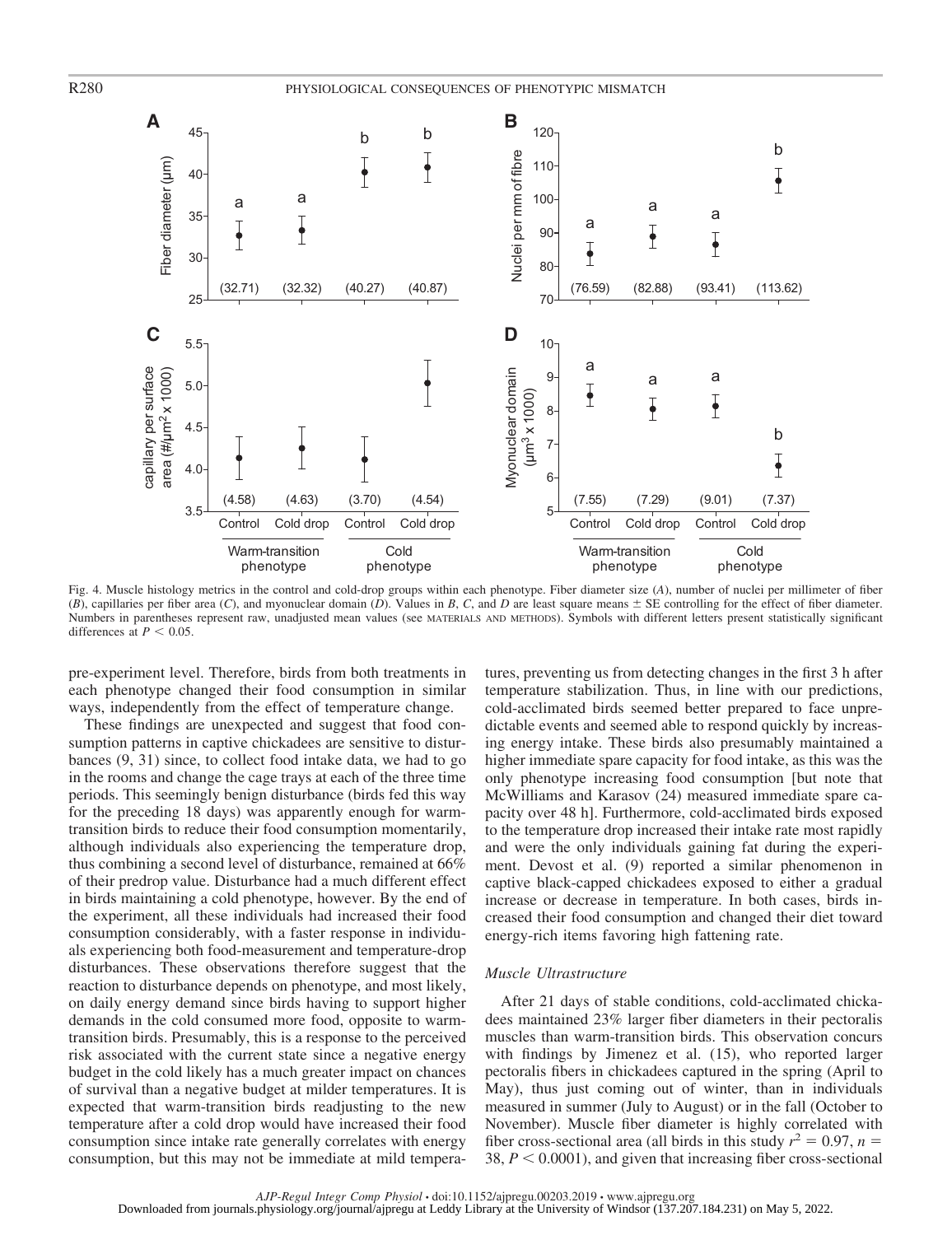

Fig. 4. Muscle histology metrics in the control and cold-drop groups within each phenotype. Fiber diameter size (*A*), number of nuclei per millimeter of fiber (*B*), capillaries per fiber area (*C*), and myonuclear domain (*D*). Values in *B*, *C*, and *D* are least square means  $\pm$  SE controlling for the effect of fiber diameter. Numbers in parentheses represent raw, unadjusted mean values (see MATERIALS AND METHODS). Symbols with different letters present statistically significant differences at  $P < 0.05$ .

pre-experiment level. Therefore, birds from both treatments in each phenotype changed their food consumption in similar ways, independently from the effect of temperature change.

These findings are unexpected and suggest that food consumption patterns in captive chickadees are sensitive to disturbances (9, 31) since, to collect food intake data, we had to go in the rooms and change the cage trays at each of the three time periods. This seemingly benign disturbance (birds fed this way for the preceding 18 days) was apparently enough for warmtransition birds to reduce their food consumption momentarily, although individuals also experiencing the temperature drop, thus combining a second level of disturbance, remained at 66% of their predrop value. Disturbance had a much different effect in birds maintaining a cold phenotype, however. By the end of the experiment, all these individuals had increased their food consumption considerably, with a faster response in individuals experiencing both food-measurement and temperature-drop disturbances. These observations therefore suggest that the reaction to disturbance depends on phenotype, and most likely, on daily energy demand since birds having to support higher demands in the cold consumed more food, opposite to warmtransition birds. Presumably, this is a response to the perceived risk associated with the current state since a negative energy budget in the cold likely has a much greater impact on chances of survival than a negative budget at milder temperatures. It is expected that warm-transition birds readjusting to the new temperature after a cold drop would have increased their food consumption since intake rate generally correlates with energy consumption, but this may not be immediate at mild tempera-

tures, preventing us from detecting changes in the first 3 h after temperature stabilization. Thus, in line with our predictions, cold-acclimated birds seemed better prepared to face unpredictable events and seemed able to respond quickly by increasing energy intake. These birds also presumably maintained a higher immediate spare capacity for food intake, as this was the only phenotype increasing food consumption [but note that McWilliams and Karasov (24) measured immediate spare capacity over 48 h]. Furthermore, cold-acclimated birds exposed to the temperature drop increased their intake rate most rapidly and were the only individuals gaining fat during the experiment. Devost et al. (9) reported a similar phenomenon in captive black-capped chickadees exposed to either a gradual increase or decrease in temperature. In both cases, birds increased their food consumption and changed their diet toward energy-rich items favoring high fattening rate.

#### *Muscle Ultrastructure*

After 21 days of stable conditions, cold-acclimated chickadees maintained 23% larger fiber diameters in their pectoralis muscles than warm-transition birds. This observation concurs with findings by Jimenez et al. (15), who reported larger pectoralis fibers in chickadees captured in the spring (April to May), thus just coming out of winter, than in individuals measured in summer (July to August) or in the fall (October to November). Muscle fiber diameter is highly correlated with fiber cross-sectional area (all birds in this study  $r^2 = 0.97$ ,  $n =$ 38,  $P < 0.0001$ ), and given that increasing fiber cross-sectional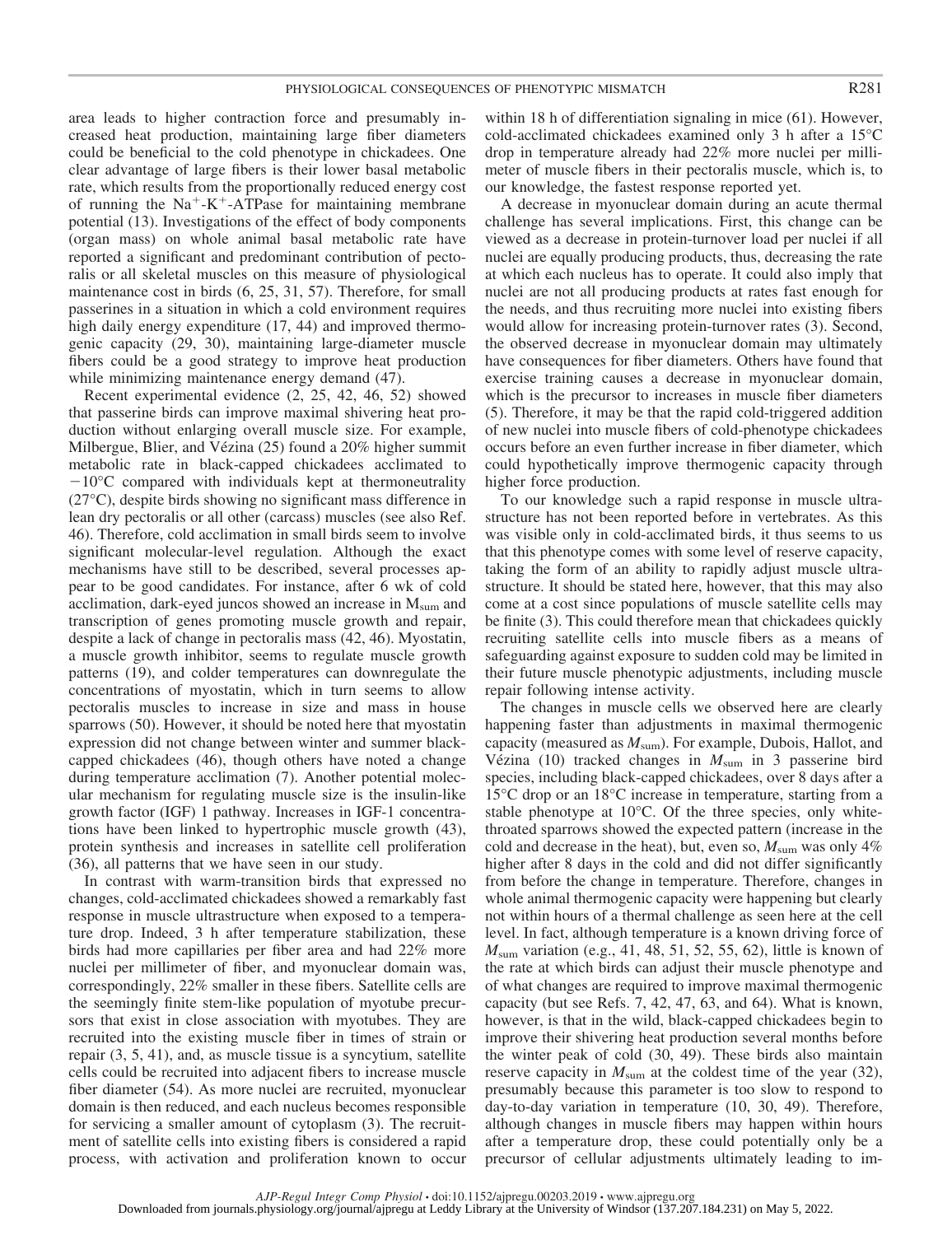area leads to higher contraction force and presumably increased heat production, maintaining large fiber diameters could be beneficial to the cold phenotype in chickadees. One clear advantage of large fibers is their lower basal metabolic rate, which results from the proportionally reduced energy cost of running the  $Na^+ - K^+$ -ATPase for maintaining membrane potential (13). Investigations of the effect of body components (organ mass) on whole animal basal metabolic rate have reported a significant and predominant contribution of pectoralis or all skeletal muscles on this measure of physiological maintenance cost in birds (6, 25, 31, 57). Therefore, for small passerines in a situation in which a cold environment requires high daily energy expenditure (17, 44) and improved thermogenic capacity (29, 30), maintaining large-diameter muscle fibers could be a good strategy to improve heat production while minimizing maintenance energy demand  $(47)$ .

Recent experimental evidence (2, 25, 42, 46, 52) showed that passerine birds can improve maximal shivering heat production without enlarging overall muscle size. For example, Milbergue, Blier, and Vézina (25) found a 20% higher summit metabolic rate in black-capped chickadees acclimated to  $-10^{\circ}$ C compared with individuals kept at thermoneutrality (27°C), despite birds showing no significant mass difference in lean dry pectoralis or all other (carcass) muscles (see also Ref. 46). Therefore, cold acclimation in small birds seem to involve significant molecular-level regulation. Although the exact mechanisms have still to be described, several processes appear to be good candidates. For instance, after 6 wk of cold acclimation, dark-eyed juncos showed an increase in  $M_{\text{sum}}$  and transcription of genes promoting muscle growth and repair, despite a lack of change in pectoralis mass (42, 46). Myostatin, a muscle growth inhibitor, seems to regulate muscle growth patterns (19), and colder temperatures can downregulate the concentrations of myostatin, which in turn seems to allow pectoralis muscles to increase in size and mass in house sparrows (50). However, it should be noted here that myostatin expression did not change between winter and summer blackcapped chickadees (46), though others have noted a change during temperature acclimation (7). Another potential molecular mechanism for regulating muscle size is the insulin-like growth factor (IGF) 1 pathway. Increases in IGF-1 concentrations have been linked to hypertrophic muscle growth (43), protein synthesis and increases in satellite cell proliferation (36), all patterns that we have seen in our study.

In contrast with warm-transition birds that expressed no changes, cold-acclimated chickadees showed a remarkably fast response in muscle ultrastructure when exposed to a temperature drop. Indeed, 3 h after temperature stabilization, these birds had more capillaries per fiber area and had 22% more nuclei per millimeter of fiber, and myonuclear domain was, correspondingly, 22% smaller in these fibers. Satellite cells are the seemingly finite stem-like population of myotube precursors that exist in close association with myotubes. They are recruited into the existing muscle fiber in times of strain or repair (3, 5, 41), and, as muscle tissue is a syncytium, satellite cells could be recruited into adjacent fibers to increase muscle fiber diameter (54). As more nuclei are recruited, myonuclear domain is then reduced, and each nucleus becomes responsible for servicing a smaller amount of cytoplasm (3). The recruitment of satellite cells into existing fibers is considered a rapid process, with activation and proliferation known to occur

within 18 h of differentiation signaling in mice (61). However, cold-acclimated chickadees examined only 3 h after a 15°C drop in temperature already had 22% more nuclei per millimeter of muscle fibers in their pectoralis muscle, which is, to our knowledge, the fastest response reported yet.

A decrease in myonuclear domain during an acute thermal challenge has several implications. First, this change can be viewed as a decrease in protein-turnover load per nuclei if all nuclei are equally producing products, thus, decreasing the rate at which each nucleus has to operate. It could also imply that nuclei are not all producing products at rates fast enough for the needs, and thus recruiting more nuclei into existing fibers would allow for increasing protein-turnover rates (3). Second, the observed decrease in myonuclear domain may ultimately have consequences for fiber diameters. Others have found that exercise training causes a decrease in myonuclear domain, which is the precursor to increases in muscle fiber diameters (5). Therefore, it may be that the rapid cold-triggered addition of new nuclei into muscle fibers of cold-phenotype chickadees occurs before an even further increase in fiber diameter, which could hypothetically improve thermogenic capacity through higher force production.

To our knowledge such a rapid response in muscle ultrastructure has not been reported before in vertebrates. As this was visible only in cold-acclimated birds, it thus seems to us that this phenotype comes with some level of reserve capacity, taking the form of an ability to rapidly adjust muscle ultrastructure. It should be stated here, however, that this may also come at a cost since populations of muscle satellite cells may be finite (3). This could therefore mean that chickadees quickly recruiting satellite cells into muscle fibers as a means of safeguarding against exposure to sudden cold may be limited in their future muscle phenotypic adjustments, including muscle repair following intense activity.

The changes in muscle cells we observed here are clearly happening faster than adjustments in maximal thermogenic capacity (measured as *M*sum). For example, Dubois, Hallot, and Vézina (10) tracked changes in *M*sum in 3 passerine bird species, including black-capped chickadees, over 8 days after a 15°C drop or an 18°C increase in temperature, starting from a stable phenotype at 10°C. Of the three species, only whitethroated sparrows showed the expected pattern (increase in the cold and decrease in the heat), but, even so,  $M_{\text{sum}}$  was only 4% higher after 8 days in the cold and did not differ significantly from before the change in temperature. Therefore, changes in whole animal thermogenic capacity were happening but clearly not within hours of a thermal challenge as seen here at the cell level. In fact, although temperature is a known driving force of *M*sum variation (e.g., 41, 48, 51, 52, 55, 62), little is known of the rate at which birds can adjust their muscle phenotype and of what changes are required to improve maximal thermogenic capacity (but see Refs. 7, 42, 47, 63, and 64). What is known, however, is that in the wild, black-capped chickadees begin to improve their shivering heat production several months before the winter peak of cold (30, 49). These birds also maintain reserve capacity in  $M_{\text{sum}}$  at the coldest time of the year (32), presumably because this parameter is too slow to respond to day-to-day variation in temperature (10, 30, 49). Therefore, although changes in muscle fibers may happen within hours after a temperature drop, these could potentially only be a precursor of cellular adjustments ultimately leading to im-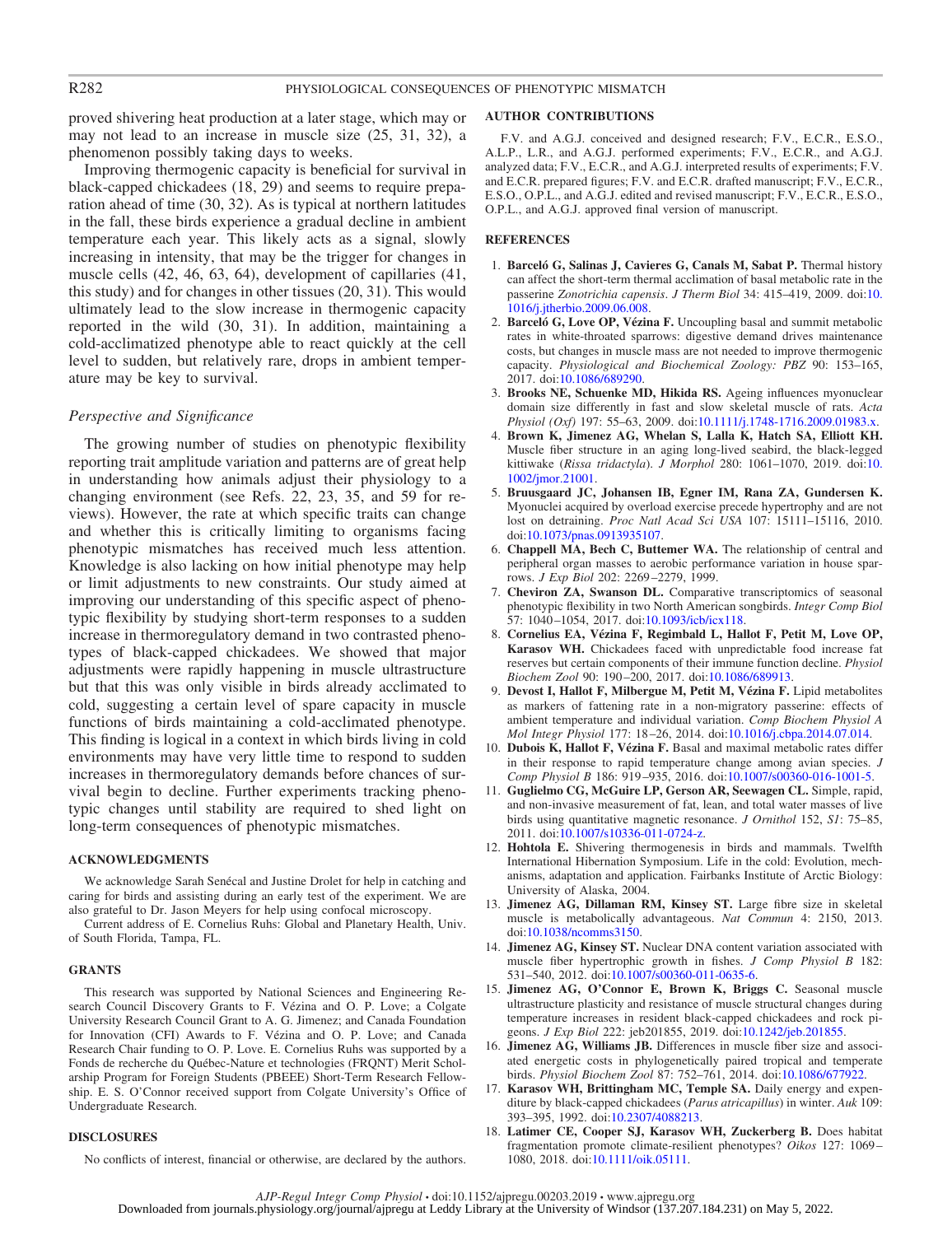proved shivering heat production at a later stage, which may or may not lead to an increase in muscle size (25, 31, 32), a phenomenon possibly taking days to weeks.

Improving thermogenic capacity is beneficial for survival in black-capped chickadees (18, 29) and seems to require preparation ahead of time (30, 32). As is typical at northern latitudes in the fall, these birds experience a gradual decline in ambient temperature each year. This likely acts as a signal, slowly increasing in intensity, that may be the trigger for changes in muscle cells (42, 46, 63, 64), development of capillaries (41, this study) and for changes in other tissues (20, 31). This would ultimately lead to the slow increase in thermogenic capacity reported in the wild (30, 31). In addition, maintaining a cold-acclimatized phenotype able to react quickly at the cell level to sudden, but relatively rare, drops in ambient temperature may be key to survival.

#### *Perspective and Significance*

The growing number of studies on phenotypic flexibility reporting trait amplitude variation and patterns are of great help in understanding how animals adjust their physiology to a changing environment (see Refs. 22, 23, 35, and 59 for reviews). However, the rate at which specific traits can change and whether this is critically limiting to organisms facing phenotypic mismatches has received much less attention. Knowledge is also lacking on how initial phenotype may help or limit adjustments to new constraints. Our study aimed at improving our understanding of this specific aspect of phenotypic flexibility by studying short-term responses to a sudden increase in thermoregulatory demand in two contrasted phenotypes of black-capped chickadees. We showed that major adjustments were rapidly happening in muscle ultrastructure but that this was only visible in birds already acclimated to cold, suggesting a certain level of spare capacity in muscle functions of birds maintaining a cold-acclimated phenotype. This finding is logical in a context in which birds living in cold environments may have very little time to respond to sudden increases in thermoregulatory demands before chances of survival begin to decline. Further experiments tracking phenotypic changes until stability are required to shed light on long-term consequences of phenotypic mismatches.

#### **ACKNOWLEDGMENTS**

We acknowledge Sarah Senécal and Justine Drolet for help in catching and caring for birds and assisting during an early test of the experiment. We are also grateful to Dr. Jason Meyers for help using confocal microscopy.

Current address of E. Cornelius Ruhs: Global and Planetary Health, Univ. of South Florida, Tampa, FL.

#### **GRANTS**

This research was supported by National Sciences and Engineering Research Council Discovery Grants to F. Vézina and O. P. Love; a Colgate University Research Council Grant to A. G. Jimenez; and Canada Foundation for Innovation (CFI) Awards to F. Vézina and O. P. Love; and Canada Research Chair funding to O. P. Love. E. Cornelius Ruhs was supported by a Fonds de recherche du Québec-Nature et technologies (FRQNT) Merit Scholarship Program for Foreign Students (PBEEE) Short-Term Research Fellowship. E. S. O'Connor received support from Colgate University's Office of Undergraduate Research.

#### **DISCLOSURES**

No conflicts of interest, financial or otherwise, are declared by the authors.

#### **AUTHOR CONTRIBUTIONS**

F.V. and A.G.J. conceived and designed research; F.V., E.C.R., E.S.O., A.L.P., L.R., and A.G.J. performed experiments; F.V., E.C.R., and A.G.J. analyzed data; F.V., E.C.R., and A.G.J. interpreted results of experiments; F.V. and E.C.R. prepared figures; F.V. and E.C.R. drafted manuscript; F.V., E.C.R., E.S.O., O.P.L., and A.G.J. edited and revised manuscript; F.V., E.C.R., E.S.O., O.P.L., and A.G.J. approved final version of manuscript.

#### **REFERENCES**

- 1. **Barceló G, Salinas J, Cavieres G, Canals M, Sabat P.** Thermal history can affect the short-term thermal acclimation of basal metabolic rate in the passerine *Zonotrichia capensis*. *J Therm Biol* 34: 415–419, 2009. doi[:10.](https://doi.org/10.1016/j.jtherbio.2009.06.008) [1016/j.jtherbio.2009.06.008.](https://doi.org/10.1016/j.jtherbio.2009.06.008)
- 2. **Barceló G, Love OP, Vézina F.** Uncoupling basal and summit metabolic rates in white-throated sparrows: digestive demand drives maintenance costs, but changes in muscle mass are not needed to improve thermogenic capacity. *Physiological and Biochemical Zoology: PBZ* 90: 153–165, 2017. doi[:10.1086/689290.](https://doi.org/10.1086/689290)
- 3. **Brooks NE, Schuenke MD, Hikida RS.** Ageing influences myonuclear domain size differently in fast and slow skeletal muscle of rats. *Acta Physiol (Oxf)* 197: 55–63, 2009. doi[:10.1111/j.1748-1716.2009.01983.x.](https://doi.org/10.1111/j.1748-1716.2009.01983.x)
- 4. **Brown K, Jimenez AG, Whelan S, Lalla K, Hatch SA, Elliott KH.** Muscle fiber structure in an aging long-lived seabird, the black-legged kittiwake (*Rissa tridactyla*). *J Morphol* 280: 1061–1070, 2019. doi[:10.](https://doi.org/10.1002/jmor.21001) [1002/jmor.21001.](https://doi.org/10.1002/jmor.21001)
- 5. **Bruusgaard JC, Johansen IB, Egner IM, Rana ZA, Gundersen K.** Myonuclei acquired by overload exercise precede hypertrophy and are not lost on detraining. *Proc Natl Acad Sci USA* 107: 15111–15116, 2010. doi[:10.1073/pnas.0913935107.](https://doi.org/10.1073/pnas.0913935107)
- 6. **Chappell MA, Bech C, Buttemer WA.** The relationship of central and peripheral organ masses to aerobic performance variation in house sparrows. *J Exp Biol* 202: 2269 –2279, 1999.
- 7. **Cheviron ZA, Swanson DL.** Comparative transcriptomics of seasonal phenotypic flexibility in two North American songbirds. *Integr Comp Biol* 57: 1040-1054, 2017. doi[:10.1093/icb/icx118.](https://doi.org/10.1093/icb/icx118)
- 8. **Cornelius EA, Vézina F, Regimbald L, Hallot F, Petit M, Love OP, Karasov WH.** Chickadees faced with unpredictable food increase fat reserves but certain components of their immune function decline. *Physiol Biochem Zool* 90: 190 –200, 2017. doi[:10.1086/689913.](https://doi.org/10.1086/689913)
- 9. **Devost I, Hallot F, Milbergue M, Petit M, Vézina F.** Lipid metabolites as markers of fattening rate in a non-migratory passerine: effects of ambient temperature and individual variation. *Comp Biochem Physiol A Mol Integr Physiol* 177: 18 –26, 2014. doi[:10.1016/j.cbpa.2014.07.014.](https://doi.org/10.1016/j.cbpa.2014.07.014)
- 10. **Dubois K, Hallot F, Vézina F.** Basal and maximal metabolic rates differ in their response to rapid temperature change among avian species. *J Comp Physiol B* 186: 919 –935, 2016. doi[:10.1007/s00360-016-1001-5.](https://doi.org/10.1007/s00360-016-1001-5)
- 11. **Guglielmo CG, McGuire LP, Gerson AR, Seewagen CL.** Simple, rapid, and non-invasive measurement of fat, lean, and total water masses of live birds using quantitative magnetic resonance. *J Ornithol* 152, *S1*: 75–85, 2011. doi[:10.1007/s10336-011-0724-z.](https://doi.org/10.1007/s10336-011-0724-z)
- 12. **Hohtola E.** Shivering thermogenesis in birds and mammals. Twelfth International Hibernation Symposium. Life in the cold: Evolution, mechanisms, adaptation and application. Fairbanks Institute of Arctic Biology: University of Alaska, 2004.
- 13. **Jimenez AG, Dillaman RM, Kinsey ST.** Large fibre size in skeletal muscle is metabolically advantageous. *Nat Commun* 4: 2150, 2013. doi[:10.1038/ncomms3150.](https://doi.org/10.1038/ncomms3150)
- 14. **Jimenez AG, Kinsey ST.** Nuclear DNA content variation associated with muscle fiber hypertrophic growth in fishes. *J Comp Physiol B* 182: 531–540, 2012. doi[:10.1007/s00360-011-0635-6.](https://doi.org/10.1007/s00360-011-0635-6)
- 15. **Jimenez AG, O'Connor E, Brown K, Briggs C.** Seasonal muscle ultrastructure plasticity and resistance of muscle structural changes during temperature increases in resident black-capped chickadees and rock pigeons. *J Exp Biol* 222: jeb201855, 2019. doi[:10.1242/jeb.201855.](https://doi.org/10.1242/jeb.201855)
- 16. **Jimenez AG, Williams JB.** Differences in muscle fiber size and associated energetic costs in phylogenetically paired tropical and temperate birds. *Physiol Biochem Zool* 87: 752–761, 2014. doi[:10.1086/677922.](https://doi.org/10.1086/677922)
- 17. **Karasov WH, Brittingham MC, Temple SA.** Daily energy and expenditure by black-capped chickadees (*Parus atricapillus*) in winter. *Auk* 109: 393–395, 1992. doi[:10.2307/4088213.](https://doi.org/10.2307/4088213)
- 18. **Latimer CE, Cooper SJ, Karasov WH, Zuckerberg B.** Does habitat fragmentation promote climate-resilient phenotypes? *Oikos* 127: 1069 – 1080, 2018. doi[:10.1111/oik.05111.](https://doi.org/10.1111/oik.05111)

*AJP-Regul Integr Comp Physiol* • doi:10.1152/ajpregu.00203.2019 • www.ajpregu.org Downloaded from journals.physiology.org/journal/ajpregu at Leddy Library at the University of Windsor (137.207.184.231) on May 5, 2022.